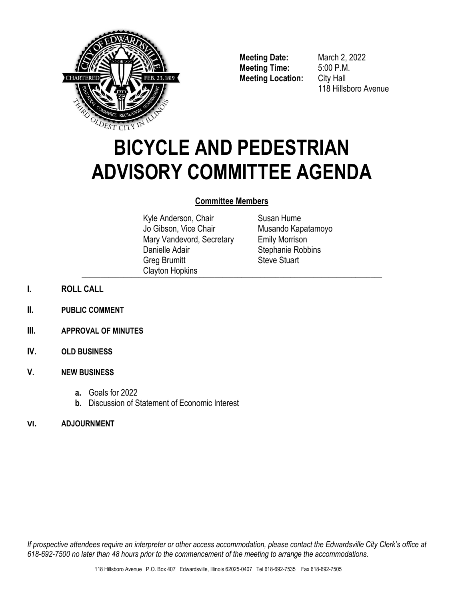

**Meeting Date:** March 2, 2022 **Meeting Time:** 5:00 P.M. **Meeting Location:** City Hall

118 Hillsboro Avenue

# **BICYCLE AND PEDESTRIAN ADVISORY COMMITTEE AGENDA**

### **Committee Members**

Kyle Anderson, Chair Jo Gibson, Vice Chair Mary Vandevord, Secretary Danielle Adair Greg Brumitt Clayton Hopkins \_\_\_\_\_\_\_\_\_\_\_\_\_\_\_\_\_\_\_\_\_\_\_\_\_\_\_\_\_\_\_\_\_\_\_\_\_\_\_\_\_\_\_\_\_\_\_\_\_\_\_\_\_\_\_\_\_\_\_\_\_\_\_\_\_\_\_\_\_\_\_\_\_\_\_\_\_\_\_

Susan Hume Musando Kapatamoyo Emily Morrison Stephanie Robbins Steve Stuart

- **I. ROLL CALL**
- **II. PUBLIC COMMENT**
- **III. APPROVAL OF MINUTES**
- **IV. OLD BUSINESS**
- **V. NEW BUSINESS**
	- **a.** Goals for 2022
	- **b.** Discussion of Statement of Economic Interest
- **VI. ADJOURNMENT**

*If prospective attendees require an interpreter or other access accommodation, please contact the Edwardsville City Clerk's office at 618-692-7500 no later than 48 hours prior to the commencement of the meeting to arrange the accommodations.*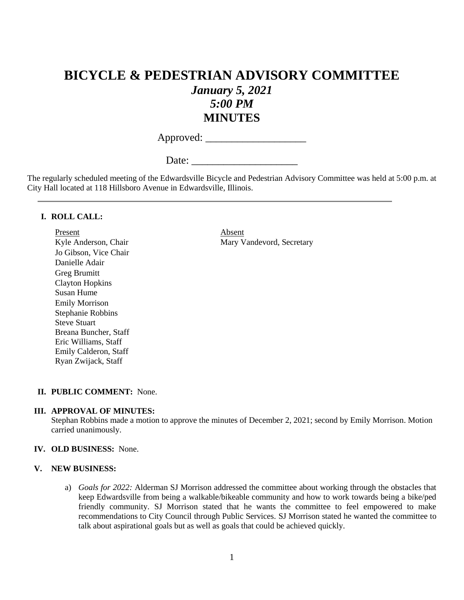## **BICYCLE & PEDESTRIAN ADVISORY COMMITTEE** *January 5, 2021 5:00 PM* **MINUTES**

Approved: \_\_\_\_\_\_\_\_\_\_\_\_\_\_\_\_\_\_\_

Date:

The regularly scheduled meeting of the Edwardsville Bicycle and Pedestrian Advisory Committee was held at 5:00 p.m. at City Hall located at 118 Hillsboro Avenue in Edwardsville, Illinois.

#### **I. ROLL CALL:**

Present Absent Jo Gibson, Vice Chair Danielle Adair Greg Brumitt Clayton Hopkins Susan Hume Emily Morrison Stephanie Robbins Steve Stuart Breana Buncher, Staff Eric Williams, Staff Emily Calderon, Staff Ryan Zwijack, Staff

Kyle Anderson, Chair Mary Vandevord, Secretary

#### **II. PUBLIC COMMENT:** None.

#### **III. APPROVAL OF MINUTES:**

Stephan Robbins made a motion to approve the minutes of December 2, 2021; second by Emily Morrison. Motion carried unanimously.

#### **IV. OLD BUSINESS:** None.

#### **V. NEW BUSINESS:**

a) *Goals for 2022:* Alderman SJ Morrison addressed the committee about working through the obstacles that keep Edwardsville from being a walkable/bikeable community and how to work towards being a bike/ped friendly community. SJ Morrison stated that he wants the committee to feel empowered to make recommendations to City Council through Public Services. SJ Morrison stated he wanted the committee to talk about aspirational goals but as well as goals that could be achieved quickly.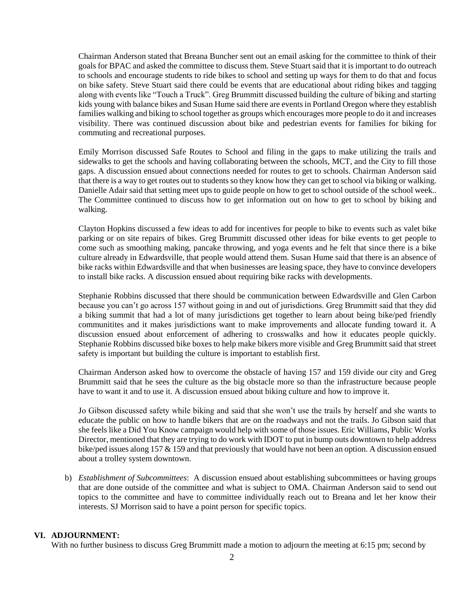Chairman Anderson stated that Breana Buncher sent out an email asking for the committee to think of their goals for BPAC and asked the committee to discuss them. Steve Stuart said that it is important to do outreach to schools and encourage students to ride bikes to school and setting up ways for them to do that and focus on bike safety. Steve Stuart said there could be events that are educational about riding bikes and tagging along with events like "Touch a Truck". Greg Brummitt discussed building the culture of biking and starting kids young with balance bikes and Susan Hume said there are events in Portland Oregon where they establish families walking and biking to school together as groups which encourages more people to do it and increases visibility. There was continued discussion about bike and pedestrian events for families for biking for commuting and recreational purposes.

Emily Morrison discussed Safe Routes to School and filing in the gaps to make utilizing the trails and sidewalks to get the schools and having collaborating between the schools, MCT, and the City to fill those gaps. A discussion ensued about connections needed for routes to get to schools. Chairman Anderson said that there is a way to get routes out to students so they know how they can get to school via biking or walking. Danielle Adair said that setting meet ups to guide people on how to get to school outside of the school week.. The Committee continued to discuss how to get information out on how to get to school by biking and walking.

Clayton Hopkins discussed a few ideas to add for incentives for people to bike to events such as valet bike parking or on site repairs of bikes. Greg Brummitt discussed other ideas for bike events to get people to come such as smoothing making, pancake throwing, and yoga events and he felt that since there is a bike culture already in Edwardsville, that people would attend them. Susan Hume said that there is an absence of bike racks within Edwardsville and that when businesses are leasing space, they have to convince developers to install bike racks. A discussion ensued about requiring bike racks with developments.

Stephanie Robbins discussed that there should be communication between Edwardsville and Glen Carbon because you can't go across 157 without going in and out of jurisdictions. Greg Brummitt said that they did a biking summit that had a lot of many jurisdictions get together to learn about being bike/ped friendly communitites and it makes jurisdictions want to make improvements and allocate funding toward it. A discussion ensued about enforcement of adhering to crosswalks and how it educates people quickly. Stephanie Robbins discussed bike boxes to help make bikers more visible and Greg Brummitt said that street safety is important but building the culture is important to establish first.

Chairman Anderson asked how to overcome the obstacle of having 157 and 159 divide our city and Greg Brummitt said that he sees the culture as the big obstacle more so than the infrastructure because people have to want it and to use it. A discussion ensued about biking culture and how to improve it.

Jo Gibson discussed safety while biking and said that she won't use the trails by herself and she wants to educate the public on how to handle bikers that are on the roadways and not the trails. Jo Gibson said that she feels like a Did You Know campaign would help with some of those issues. Eric Williams, Public Works Director, mentioned that they are trying to do work with IDOT to put in bump outs downtown to help address bike/ped issues along 157 & 159 and that previously that would have not been an option. A discussion ensued about a trolley system downtown.

b) *Establishment of Subcommittees*: A discussion ensued about establishing subcommittees or having groups that are done outside of the committee and what is subject to OMA. Chairman Anderson said to send out topics to the committee and have to committee individually reach out to Breana and let her know their interests. SJ Morrison said to have a point person for specific topics.

#### **VI. ADJOURNMENT:**

With no further business to discuss Greg Brummitt made a motion to adjourn the meeting at 6:15 pm; second by